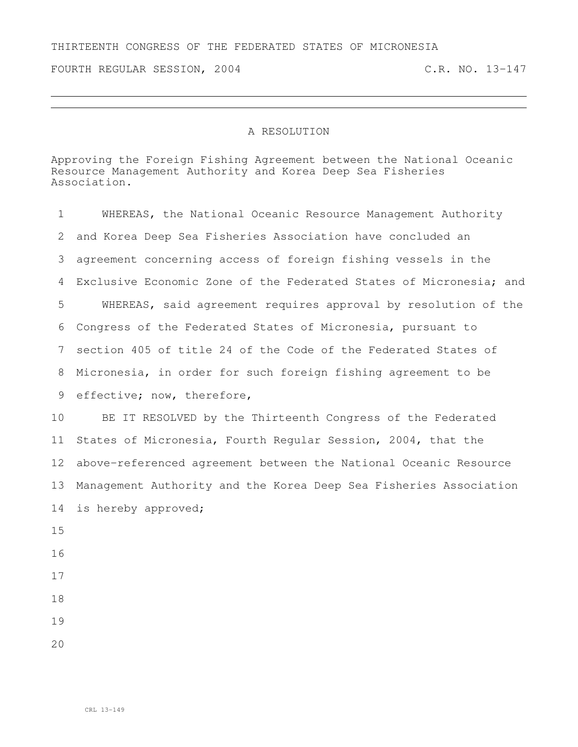## THIRTEENTH CONGRESS OF THE FEDERATED STATES OF MICRONESIA

FOURTH REGULAR SESSION, 2004 C.R. NO. 13-147

## A RESOLUTION

Approving the Foreign Fishing Agreement between the National Oceanic Resource Management Authority and Korea Deep Sea Fisheries Association.

| $\mathbf 1$ | WHEREAS, the National Oceanic Resource Management Authority        |
|-------------|--------------------------------------------------------------------|
| 2           | and Korea Deep Sea Fisheries Association have concluded an         |
| 3           | agreement concerning access of foreign fishing vessels in the      |
| 4           | Exclusive Economic Zone of the Federated States of Micronesia; and |
| 5           | WHEREAS, said agreement requires approval by resolution of the     |
| 6           | Congress of the Federated States of Micronesia, pursuant to        |
| 7           | section 405 of title 24 of the Code of the Federated States of     |
| 8           | Micronesia, in order for such foreign fishing agreement to be      |
| 9           | effective; now, therefore,                                         |
| 10          | BE IT RESOLVED by the Thirteenth Congress of the Federated         |
| 11          | States of Micronesia, Fourth Regular Session, 2004, that the       |
| 12          | above-referenced agreement between the National Oceanic Resource   |
| 13          | Management Authority and the Korea Deep Sea Fisheries Association  |
| 14          | is hereby approved;                                                |
| 15          |                                                                    |
| 16          |                                                                    |
| 17          |                                                                    |
| 18          |                                                                    |
| 19          |                                                                    |
| 20          |                                                                    |